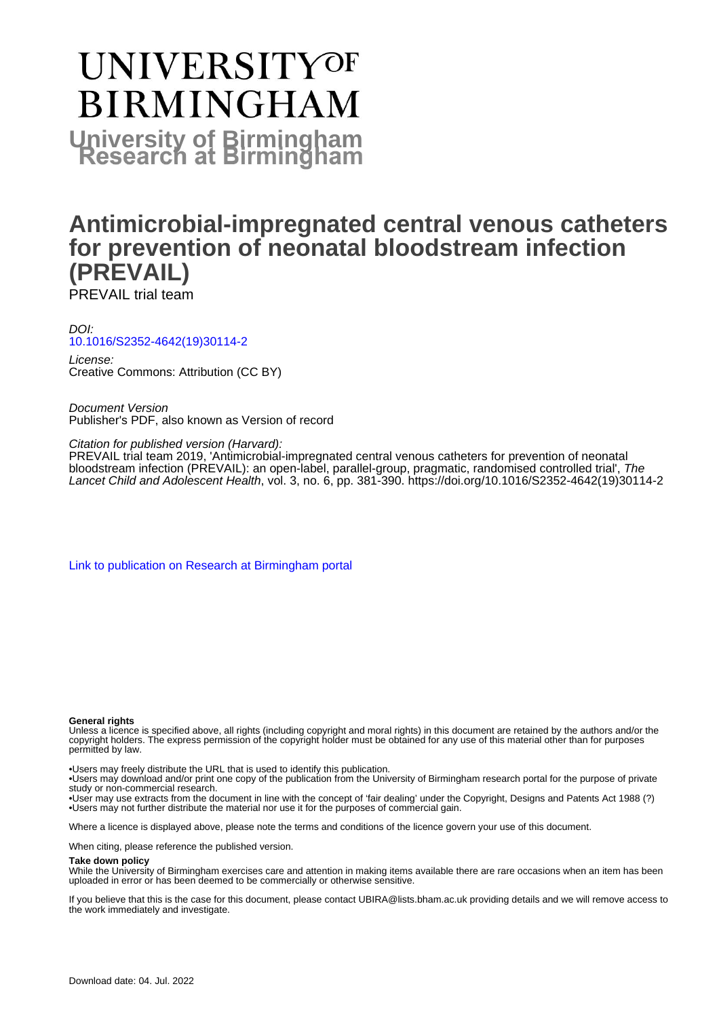# **UNIVERSITYOF BIRMINGHAM University of Birmingham**

## **Antimicrobial-impregnated central venous catheters for prevention of neonatal bloodstream infection (PREVAIL)**

PREVAIL trial team

DOI: [10.1016/S2352-4642\(19\)30114-2](https://doi.org/10.1016/S2352-4642(19)30114-2)

License: Creative Commons: Attribution (CC BY)

Document Version Publisher's PDF, also known as Version of record

Citation for published version (Harvard):

PREVAIL trial team 2019, 'Antimicrobial-impregnated central venous catheters for prevention of neonatal bloodstream infection (PREVAIL): an open-label, parallel-group, pragmatic, randomised controlled trial', The Lancet Child and Adolescent Health, vol. 3, no. 6, pp. 381-390. [https://doi.org/10.1016/S2352-4642\(19\)30114-2](https://doi.org/10.1016/S2352-4642(19)30114-2)

[Link to publication on Research at Birmingham portal](https://birmingham.elsevierpure.com/en/publications/02d76550-58ca-4e00-b3c7-3cb80097f43b)

#### **General rights**

Unless a licence is specified above, all rights (including copyright and moral rights) in this document are retained by the authors and/or the copyright holders. The express permission of the copyright holder must be obtained for any use of this material other than for purposes permitted by law.

• Users may freely distribute the URL that is used to identify this publication.

• Users may download and/or print one copy of the publication from the University of Birmingham research portal for the purpose of private study or non-commercial research.

• User may use extracts from the document in line with the concept of 'fair dealing' under the Copyright, Designs and Patents Act 1988 (?) • Users may not further distribute the material nor use it for the purposes of commercial gain.

Where a licence is displayed above, please note the terms and conditions of the licence govern your use of this document.

When citing, please reference the published version.

#### **Take down policy**

While the University of Birmingham exercises care and attention in making items available there are rare occasions when an item has been uploaded in error or has been deemed to be commercially or otherwise sensitive.

If you believe that this is the case for this document, please contact UBIRA@lists.bham.ac.uk providing details and we will remove access to the work immediately and investigate.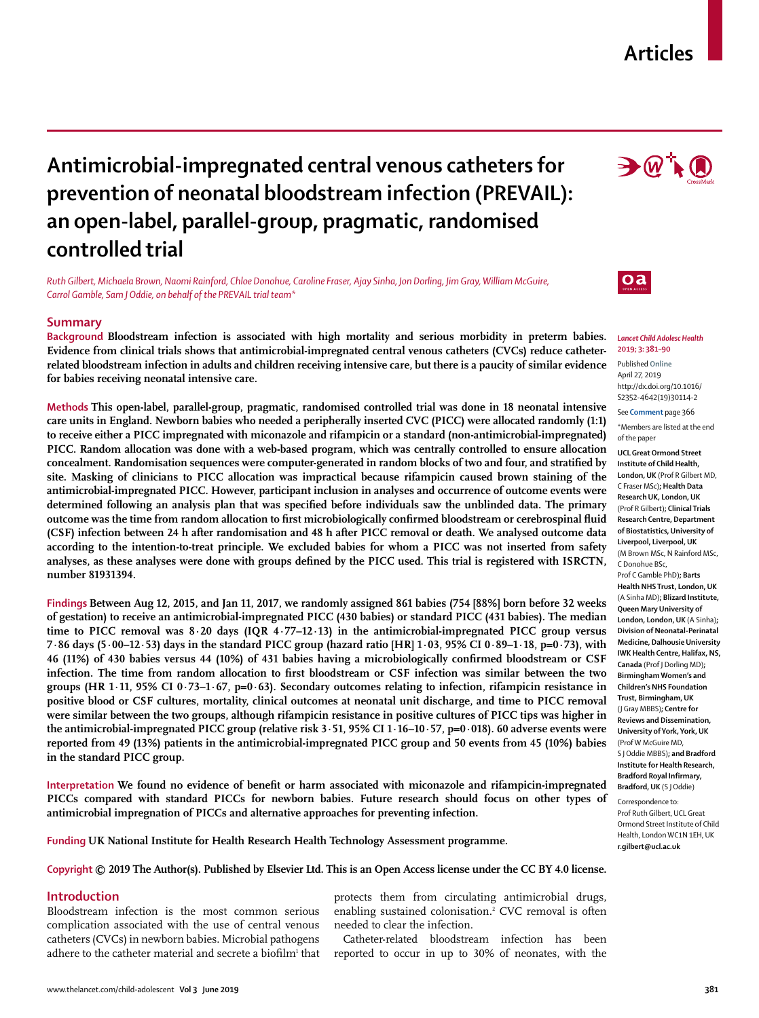### **Antimicrobial-impregnated central venous catheters for prevention of neonatal bloodstream infection (PREVAIL): an open-label, parallel-group, pragmatic, randomised controlled trial**

*Ruth Gilbert, Michaela Brown, Naomi Rainford, Chloe Donohue, Caroline Fraser, Ajay Sinha, Jon Dorling, Jim Gray, William McGuire, Carrol Gamble, Sam J Oddie, on behalf of the PREVAIL trial team\**

#### **Summary**

**Background Bloodstream infection is associated with high mortality and serious morbidity in preterm babies. Evidence from clinical trials shows that antimicrobial-impregnated central venous catheters (CVCs) reduce catheterrelated bloodstream infection in adults and children receiving intensive care, but there is a paucity of similar evidence for babies receiving neonatal intensive care.**

**Methods This open-label, parallel-group, pragmatic, randomised controlled trial was done in 18 neonatal intensive care units in England. Newborn babies who needed a peripherally inserted CVC (PICC) were allocated randomly (1:1) to receive either a PICC impregnated with miconazole and rifampicin or a standard (non-antimicrobial-impregnated) PICC. Random allocation was done with a web-based program, which was centrally controlled to ensure allocation concealment. Randomisation sequences were computer-generated in random blocks of two and four, and stratified by site. Masking of clinicians to PICC allocation was impractical because rifampicin caused brown staining of the antimicrobial-impregnated PICC. However, participant inclusion in analyses and occurrence of outcome events were determined following an analysis plan that was specified before individuals saw the unblinded data. The primary outcome was the time from random allocation to first microbiologically confirmed bloodstream or cerebrospinal fluid (CSF) infection between 24 h after randomisation and 48 h after PICC removal or death. We analysed outcome data according to the intention-to-treat principle. We excluded babies for whom a PICC was not inserted from safety analyses, as these analyses were done with groups defined by the PICC used. This trial is registered with ISRCTN, number 81931394.**

**Findings Between Aug 12, 2015, and Jan 11, 2017, we randomly assigned 861 babies (754 [88%] born before 32 weeks of gestation) to receive an antimicrobial-impregnated PICC (430 babies) or standard PICC (431 babies). The median time to PICC removal was 8·20 days (IQR 4·77–12·13) in the antimicrobial-impregnated PICC group versus 7·86 days (5·00–12·53) days in the standard PICC group (hazard ratio [HR] 1·03, 95% CI 0·89–1·18, p=0·73), with 46 (11%) of 430 babies versus 44 (10%) of 431 babies having a microbiologically confirmed bloodstream or CSF infection. The time from random allocation to first bloodstream or CSF infection was similar between the two groups (HR 1·11, 95% CI 0·73–1·67, p=0·63). Secondary outcomes relating to infection, rifampicin resistance in positive blood or CSF cultures, mortality, clinical outcomes at neonatal unit discharge, and time to PICC removal were similar between the two groups, although rifampicin resistance in positive cultures of PICC tips was higher in the antimicrobial-impregnated PICC group (relative risk 3·51, 95% CI 1·16–10·57, p=0·018). 60 adverse events were reported from 49 (13%) patients in the antimicrobial-impregnated PICC group and 50 events from 45 (10%) babies in the standard PICC group.**

**Interpretation We found no evidence of benefit or harm associated with miconazole and rifampicin-impregnated PICCs compared with standard PICCs for newborn babies. Future research should focus on other types of antimicrobial impregnation of PICCs and alternative approaches for preventing infection.**

**Funding UK National Institute for Health Research Health Technology Assessment programme.**

**Copyright © 2019 The Author(s). Published by Elsevier Ltd. This is an Open Access license under the CC BY 4.0 license.**

#### **Introduction**

Bloodstream infection is the most common serious complication associated with the use of central venous catheters (CVCs) in newborn babies. Microbial pathogens adhere to the catheter material and secrete a biofilm $^{\scriptscriptstyle 1}$  that protects them from circulating antimicrobial drugs, enabling sustained colonisation.2 CVC removal is often needed to clear the infection.

Catheter-related bloodstream infection has been reported to occur in up to 30% of neonates, with the **Articles**



#### *Lancet Child Adolesc Health* **2019; 3: 381–90**

Published **Online** April 27, 2019 http://dx.doi.org/10.1016/ S2352-4642(19)30114-2

See **Comment** page 366

\*Members are listed at the end of the paper

**UCL Great Ormond Street Institute of Child Health, London, UK** (Prof R Gilbert MD, C Fraser MSc)**; Health Data Research UK, London, UK**  (Prof R Gilbert)**; Clinical Trials Research Centre, Department of Biostatistics, University of Liverpool, Liverpool, UK**  (M Brown MSc, N Rainford MSc, C Donohue BSc, Prof C Gamble PhD)**; Barts Health NHS Trust, London, UK**  (A Sinha MD)**; Blizard Institute, Queen Mary University of London, London, UK** (A Sinha)**; Division of Neonatal-Perinatal Medicine, Dalhousie University IWK Health Centre, Halifax, NS, Canada** (Prof J Dorling MD)**; Birmingham Women's and Children's NHS Foundation Trust, Birmingham, UK**  (J Gray MBBS)**; Centre for Reviews and Dissemination,** 

**University of York, York, UK**  (Prof W McGuire MD, S J Oddie MBBS)**; and Bradford Institute for Health Research, Bradford Royal Infirmary, Bradford, UK** (S J Oddie)

Correspondence to: Prof Ruth Gilbert, UCL Great Ormond Street Institute of Child Health, London WC1N 1EH, UK **r.gilbert@ucl.ac.uk**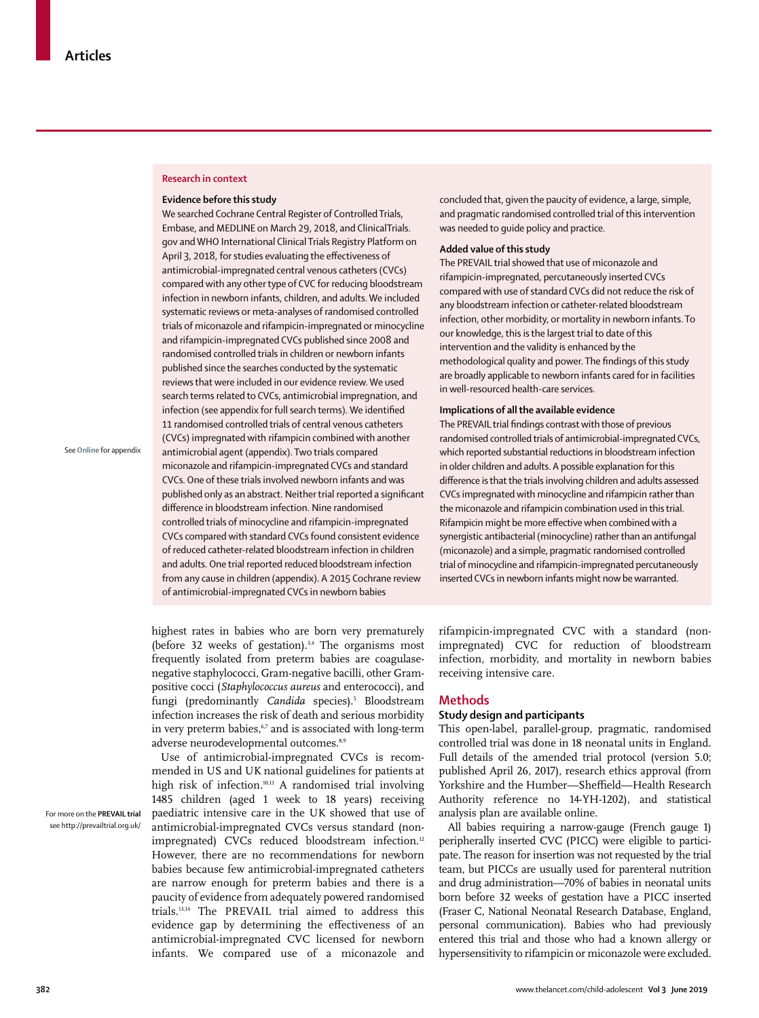#### **Research in context**

#### **Evidence before this study**

We searched Cochrane Central Register of Controlled Trials, Embase, and MEDLINE on March 29, 2018, and ClinicalTrials. gov and WHO International Clinical Trials Registry Platform on April 3, 2018, for studies evaluating the effectiveness of antimicrobial-impregnated central venous catheters (CVCs) compared with any other type of CVC for reducing bloodstream infection in newborn infants, children, and adults. We included systematic reviews or meta-analyses of randomised controlled trials of miconazole and rifampicin-impregnated or minocycline and rifampicin-impregnated CVCs published since 2008 and randomised controlled trials in children or newborn infants published since the searches conducted by the systematic reviews that were included in our evidence review. We used search terms related to CVCs, antimicrobial impregnation, and infection (see appendix for full search terms). We identified 11 randomised controlled trials of central venous catheters (CVCs) impregnated with rifampicin combined with another antimicrobial agent (appendix). Two trials compared miconazole and rifampicin-impregnated CVCs and standard CVCs. One of these trials involved newborn infants and was published only as an abstract. Neither trial reported a significant difference in bloodstream infection. Nine randomised controlled trials of minocycline and rifampicin-impregnated CVCs compared with standard CVCs found consistent evidence of reduced catheter-related bloodstream infection in children and adults. One trial reported reduced bloodstream infection from any cause in children (appendix). A 2015 Cochrane review of antimicrobial-impregnated CVCs in newborn babies

highest rates in babies who are born very prematurely (before 32 weeks of gestation). $34$  The organisms most frequently isolated from preterm babies are coagulasenegative staphylococci, Gram-negative bacilli, other Grampositive cocci (*Staphylococcus aureus* and enterococci), and fungi (predominantly *Candida* species).<sup>5</sup> Bloodstream infection increases the risk of death and serious morbidity in very preterm babies,<sup>6,7</sup> and is associated with long-term adverse neurodevelopmental outcomes.<sup>8,9</sup>

Use of antimicrobial-impregnated CVCs is recommended in US and UK national guidelines for patients at high risk of infection.<sup>10,11</sup> A randomised trial involving 1485 children (aged 1 week to 18 years) receiving paediatric intensive care in the UK showed that use of antimicrobial-impregnated CVCs versus standard (nonimpregnated) CVCs reduced bloodstream infection.<sup>12</sup> However, there are no recommendations for newborn babies because few antimicrobial-impregnated catheters are narrow enough for preterm babies and there is a paucity of evidence from adequately powered randomised trials.13,14 The PREVAIL trial aimed to address this evidence gap by determining the effectiveness of an antimicrobial-impregnated CVC licensed for newborn infants. We compared use of a miconazole and concluded that, given the paucity of evidence, a large, simple, and pragmatic randomised controlled trial of this intervention was needed to guide policy and practice.

#### **Added value of this study**

The PREVAIL trial showed that use of miconazole and rifampicin-impregnated, percutaneously inserted CVCs compared with use of standard CVCs did not reduce the risk of any bloodstream infection or catheter-related bloodstream infection, other morbidity, or mortality in newborn infants. To our knowledge, this is the largest trial to date of this intervention and the validity is enhanced by the methodological quality and power. The findings of this study are broadly applicable to newborn infants cared for in facilities in well-resourced health-care services.

#### **Implications of all the available evidence**

The PREVAIL trial findings contrast with those of previous randomised controlled trials of antimicrobial-impregnated CVCs, which reported substantial reductions in bloodstream infection in older children and adults. A possible explanation for this difference is that the trials involving children and adults assessed CVCs impregnated with minocycline and rifampicin rather than the miconazole and rifampicin combination used in this trial. Rifampicin might be more effective when combined with a synergistic antibacterial (minocycline) rather than an antifungal (miconazole) and a simple, pragmatic randomised controlled trial of minocycline and rifampicin-impregnated percutaneously inserted CVCs in newborn infants might now be warranted.

rifampicin-impregnated CVC with a standard (nonimpregnated) CVC for reduction of bloodstream infection, morbidity, and mortality in newborn babies receiving intensive care.

#### **Methods**

#### **Study design and participants**

This open-label, parallel-group, pragmatic, randomised controlled trial was done in 18 neonatal units in England. Full details of the amended trial protocol (version 5.0; published April 26, 2017), research ethics approval (from Yorkshire and the Humber—Sheffield—Health Research Authority reference no 14-YH-1202), and statistical analysis plan are available online.

All babies requiring a narrow-gauge (French gauge 1) peripherally inserted CVC (PICC) were eligible to participate. The reason for insertion was not requested by the trial team, but PICCs are usually used for parenteral nutrition and drug administration—70% of babies in neonatal units born before 32 weeks of gestation have a PICC inserted (Fraser C, National Neonatal Research Database, England, personal communication). Babies who had previously entered this trial and those who had a known allergy or hypersensitivity to rifampicin or miconazole were excluded.

For more on the **PREVAIL trial** see http://prevailtrial.org.uk/

See **Online** for appendix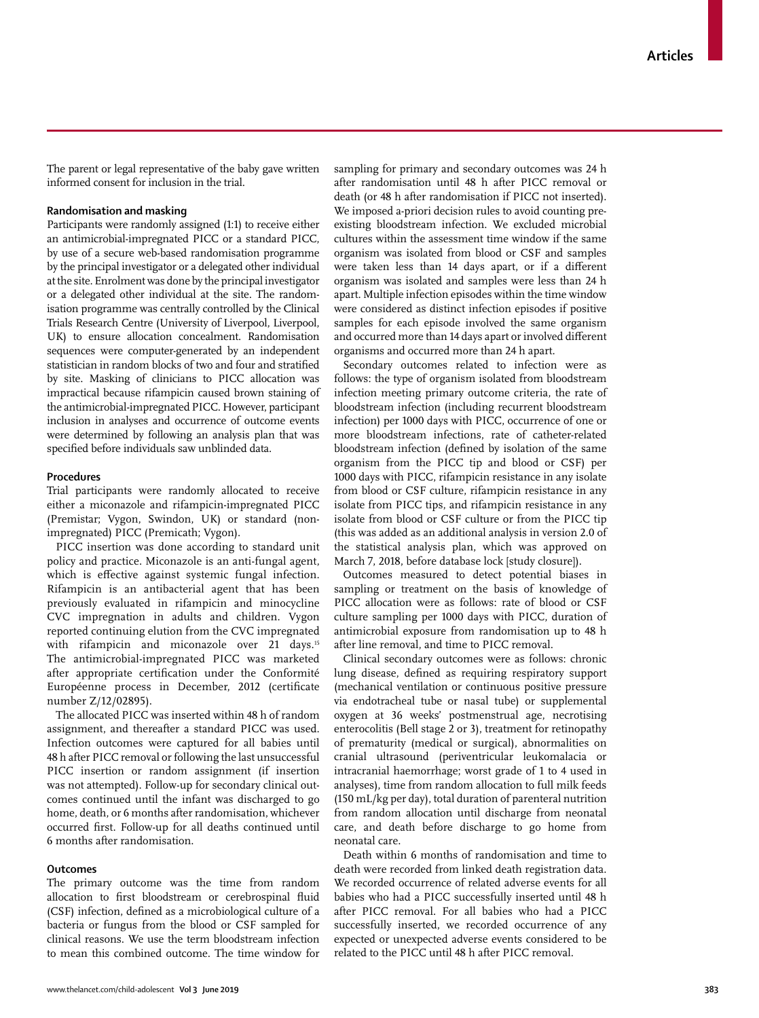The parent or legal representative of the baby gave written informed consent for inclusion in the trial.

### **Randomisation and masking**

Participants were randomly assigned (1:1) to receive either an antimicrobial-impregnated PICC or a standard PICC, by use of a secure web-based randomisation programme by the principal investigator or a delegated other individual at the site. Enrolment was done by the principal investigator or a delegated other individual at the site. The randomisation programme was centrally controlled by the Clinical Trials Research Centre (University of Liverpool, Liverpool, UK) to ensure allocation concealment. Randomisation sequences were computer-generated by an independent statistician in random blocks of two and four and stratified by site. Masking of clinicians to PICC allocation was impractical because rifampicin caused brown staining of the antimicrobial-impregnated PICC. However, participant inclusion in analyses and occurrence of outcome events were determined by following an analysis plan that was specified before individuals saw unblinded data.

#### **Procedures**

Trial participants were randomly allocated to receive either a miconazole and rifampicin-impregnated PICC (Premistar; Vygon, Swindon, UK) or standard (nonimpregnated) PICC (Premicath; Vygon).

PICC insertion was done according to standard unit policy and practice. Miconazole is an anti-fungal agent, which is effective against systemic fungal infection. Rifampicin is an antibacterial agent that has been previously evaluated in rifampicin and minocycline CVC impregnation in adults and children. Vygon reported continuing elution from the CVC impregnated with rifampicin and miconazole over 21 days.<sup>15</sup> The antimicrobial-impregnated PICC was marketed after appropriate certification under the Conformité Européenne process in December, 2012 (certificate number Z/12/02895).

The allocated PICC was inserted within 48 h of random assignment, and thereafter a standard PICC was used. Infection outcomes were captured for all babies until 48 h after PICC removal or following the last unsuccessful PICC insertion or random assignment (if insertion was not attempted). Follow-up for secondary clinical outcomes continued until the infant was discharged to go home, death, or 6 months after randomisation, whichever occurred first. Follow-up for all deaths continued until 6 months after randomisation.

### **Outcomes**

The primary outcome was the time from random allocation to first bloodstream or cerebrospinal fluid (CSF) infection, defined as a microbiological culture of a bacteria or fungus from the blood or CSF sampled for clinical reasons. We use the term bloodstream infection to mean this combined outcome. The time window for sampling for primary and secondary outcomes was 24 h after randomisation until 48 h after PICC removal or death (or 48 h after randomisation if PICC not inserted). We imposed a-priori decision rules to avoid counting preexisting bloodstream infection. We excluded microbial cultures within the assessment time window if the same organism was isolated from blood or CSF and samples were taken less than 14 days apart, or if a different organism was isolated and samples were less than 24 h apart. Multiple infection episodes within the time window were considered as distinct infection episodes if positive samples for each episode involved the same organism and occurred more than 14 days apart or involved different organisms and occurred more than 24 h apart.

Secondary outcomes related to infection were as follows: the type of organism isolated from bloodstream infection meeting primary outcome criteria, the rate of bloodstream infection (including recurrent bloodstream infection) per 1000 days with PICC, occurrence of one or more bloodstream infections, rate of catheter-related bloodstream infection (defined by isolation of the same organism from the PICC tip and blood or CSF) per 1000 days with PICC, rifampicin resistance in any isolate from blood or CSF culture, rifampicin resistance in any isolate from PICC tips, and rifampicin resistance in any isolate from blood or CSF culture or from the PICC tip (this was added as an additional analysis in version 2.0 of the statistical analysis plan, which was approved on March 7, 2018, before database lock [study closure]).

Outcomes measured to detect potential biases in sampling or treatment on the basis of knowledge of PICC allocation were as follows: rate of blood or CSF culture sampling per 1000 days with PICC, duration of antimicrobial exposure from randomisation up to 48 h after line removal, and time to PICC removal.

Clinical secondary outcomes were as follows: chronic lung disease, defined as requiring respiratory support (mechanical ventilation or continuous positive pressure via endotracheal tube or nasal tube) or supplemental oxygen at 36 weeks' postmenstrual age, necrotising enterocolitis (Bell stage 2 or 3), treatment for retinopathy of prematurity (medical or surgical), abnormalities on cranial ultrasound (periventricular leukomalacia or intracranial haemorrhage; worst grade of 1 to 4 used in analyses), time from random allocation to full milk feeds (150 mL/kg per day), total duration of parenteral nutrition from random allocation until discharge from neonatal care, and death before discharge to go home from neonatal care.

Death within 6 months of randomisation and time to death were recorded from linked death registration data. We recorded occurrence of related adverse events for all babies who had a PICC successfully inserted until 48 h after PICC removal. For all babies who had a PICC successfully inserted, we recorded occurrence of any expected or unexpected adverse events considered to be related to the PICC until 48 h after PICC removal.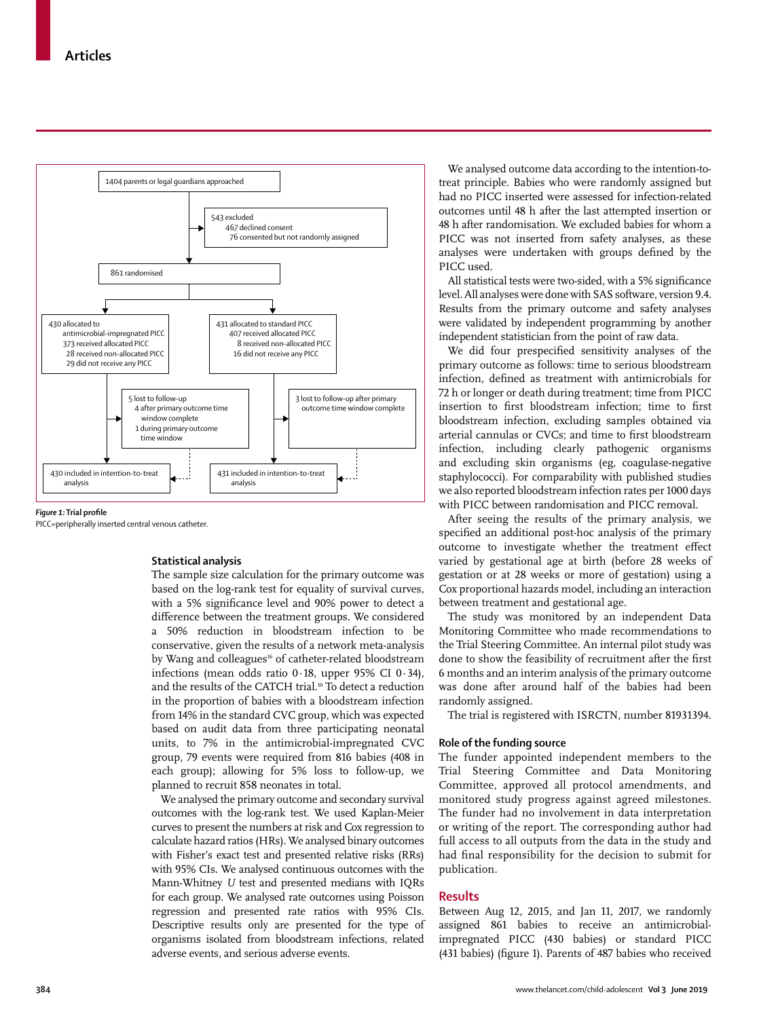

#### *Figure 1:* **Trial profile**

PICC=peripherally inserted central venous catheter.

#### **Statistical analysis**

The sample size calculation for the primary outcome was based on the log-rank test for equality of survival curves, with a 5% significance level and 90% power to detect a difference between the treatment groups. We considered a 50% reduction in bloodstream infection to be conservative, given the results of a network meta-analysis by Wang and colleagues<sup>16</sup> of catheter-related bloodstream infections (mean odds ratio 0·18, upper 95% CI 0·34), and the results of the CATCH trial.<sup>10</sup> To detect a reduction in the proportion of babies with a bloodstream infection from 14% in the standard CVC group, which was expected based on audit data from three participating neonatal units, to 7% in the antimicrobial-impregnated CVC group, 79 events were required from 816 babies (408 in each group); allowing for 5% loss to follow-up, we planned to recruit 858 neonates in total.

We analysed the primary outcome and secondary survival outcomes with the log-rank test. We used Kaplan-Meier curves to present the numbers at risk and Cox regression to calculate hazard ratios (HRs). We analysed binary outcomes with Fisher's exact test and presented relative risks (RRs) with 95% CIs. We analysed continuous outcomes with the Mann-Whitney *U* test and presented medians with IQRs for each group. We analysed rate outcomes using Poisson regression and presented rate ratios with 95% CIs. Descriptive results only are presented for the type of organisms isolated from bloodstream infections, related adverse events, and serious adverse events.

We analysed outcome data according to the intention-totreat principle. Babies who were randomly assigned but had no PICC inserted were assessed for infection-related outcomes until 48 h after the last attempted insertion or 48 h after randomisation. We excluded babies for whom a PICC was not inserted from safety analyses, as these analyses were undertaken with groups defined by the PICC used.

All statistical tests were two-sided, with a 5% significance level. All analyses were done with SAS software, version 9.4. Results from the primary outcome and safety analyses were validated by independent programming by another independent statistician from the point of raw data.

We did four prespecified sensitivity analyses of the primary outcome as follows: time to serious bloodstream infection, defined as treatment with antimicrobials for 72 h or longer or death during treatment; time from PICC insertion to first bloodstream infection; time to first bloodstream infection, excluding samples obtained via arterial cannulas or CVCs; and time to first bloodstream infection, including clearly pathogenic organisms and excluding skin organisms (eg, coagulase-negative staphylococci). For comparability with published studies we also reported bloodstream infection rates per 1000 days with PICC between randomisation and PICC removal.

After seeing the results of the primary analysis, we specified an additional post-hoc analysis of the primary outcome to investigate whether the treatment effect varied by gestational age at birth (before 28 weeks of gestation or at 28 weeks or more of gestation) using a Cox proportional hazards model, including an interaction between treatment and gestational age.

The study was monitored by an independent Data Monitoring Committee who made recommendations to the Trial Steering Committee. An internal pilot study was done to show the feasibility of recruitment after the first 6 months and an interim analysis of the primary outcome was done after around half of the babies had been randomly assigned.

The trial is registered with ISRCTN, number 81931394.

#### **Role of the funding source**

The funder appointed independent members to the Trial Steering Committee and Data Monitoring Committee, approved all protocol amendments, and monitored study progress against agreed milestones. The funder had no involvement in data interpretation or writing of the report. The corresponding author had full access to all outputs from the data in the study and had final responsibility for the decision to submit for publication.

#### **Results**

Between Aug 12, 2015, and Jan 11, 2017, we randomly assigned 861 babies to receive an antimicrobialimpregnated PICC (430 babies) or standard PICC (431 babies) (figure 1). Parents of 487 babies who received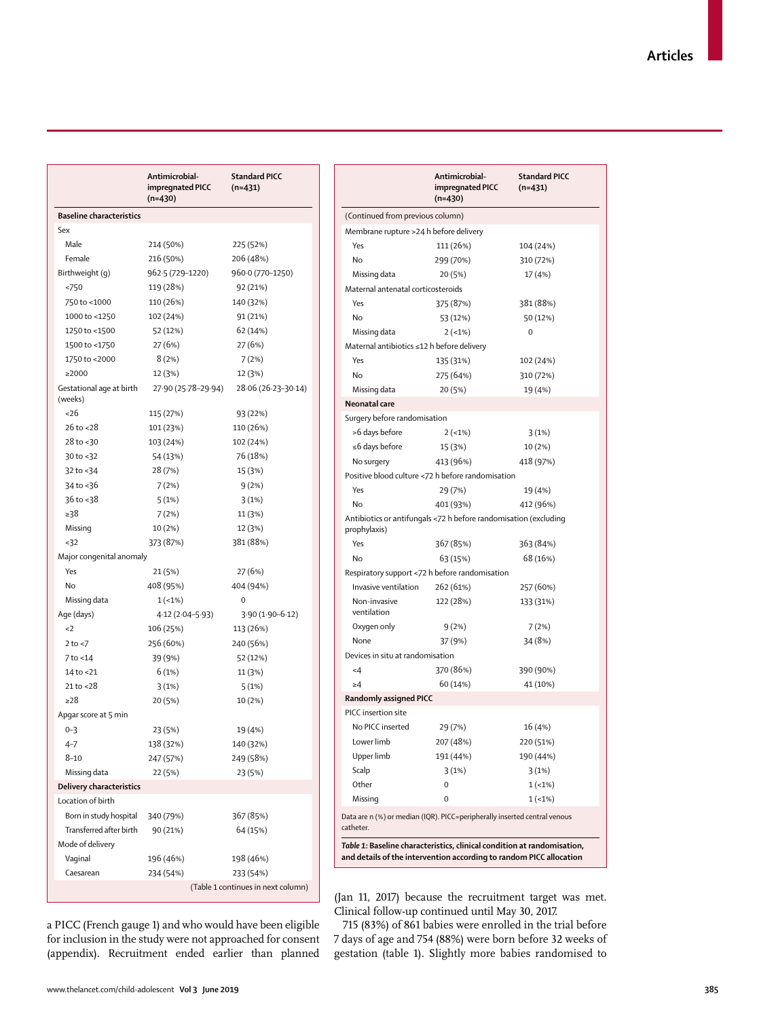|                                     | Antimicrobial-<br>impregnated PICC<br>$(n=430)$ | <b>Standard PICC</b><br>$(n=431)$  |  |
|-------------------------------------|-------------------------------------------------|------------------------------------|--|
| <b>Baseline characteristics</b>     |                                                 |                                    |  |
| Sex                                 |                                                 |                                    |  |
| Male                                | 214 (50%)                                       | 225 (52%)                          |  |
| Female                              | 216 (50%)                                       | 206 (48%)                          |  |
| Birthweight (g)                     | 962.5 (729-1220)                                | 960.0 (770-1250)                   |  |
| <750                                | 119 (28%)                                       | 92 (21%)                           |  |
| 750 to <1000                        | 110 (26%)                                       | 140 (32%)                          |  |
| 1000 to <1250                       | 102 (24%)                                       | 91 (21%)                           |  |
| 1250 to <1500                       | 52 (12%)                                        | 62 (14%)                           |  |
| 1500 to <1750                       | 27 (6%)                                         | 27 (6%)                            |  |
| 1750 to <2000                       | 8(2%)                                           | 7(2%)                              |  |
| $\geq$ 2000                         | 12 (3%)                                         | 12 (3%)                            |  |
| Gestational age at birth<br>(weeks) | 27.90 (25.78-29.94)                             | 28.06 (26.23-30.14)                |  |
| &5                                  | 115 (27%)                                       | 93 (22%)                           |  |
| $26$ to $< 28$                      | 101 (23%)                                       | 110 (26%)                          |  |
| $28$ to $<$ 30                      | 103 (24%)                                       | 102 (24%)                          |  |
| 30 to $<$ 32                        | 54 (13%)                                        | 76 (18%)                           |  |
| 32 to $<$ 34                        | 28 (7%)                                         | 15 (3%)                            |  |
| 34 to <36                           | 7(2%)                                           | 9(2%)                              |  |
| $36$ to $38$                        | 5(1%)                                           | 3(1%)                              |  |
| ≥38                                 | 7(2%)                                           | 11 (3%)                            |  |
| Missing                             | 10 (2%)                                         | 12 (3%)                            |  |
| < 32                                | 373 (87%)                                       | 381 (88%)                          |  |
| Major congenital anomaly            |                                                 |                                    |  |
| Yes                                 | 21 (5%)                                         | 27 (6%)                            |  |
| No                                  | 408 (95%)                                       | 404 (94%)                          |  |
| Missing data                        | $1(-1%)$                                        | $\mathbf 0$                        |  |
| Age (days)                          | 4.12 (2.04-5.93)                                | 3.90 (1.90-6.12)                   |  |
| $2$                                 | 106 (25%)                                       | 113 (26%)                          |  |
| $2$ to $<$ 7                        | 256 (60%)                                       | 240 (56%)                          |  |
| $7$ to $<$ 14                       | 39 (9%)                                         | 52 (12%)                           |  |
| 14 to <21                           | 6(1%)                                           | 11 (3%)                            |  |
| $21$ to $<$ 28                      | 3(1%)                                           | 5(1%)                              |  |
| ≥28                                 | 20 (5%)                                         | 10 (2%)                            |  |
| Apgar score at 5 min                |                                                 |                                    |  |
| $0 - 3$                             | 23 (5%)                                         | 19 (4%)                            |  |
| $4 - 7$                             | 138 (32%)                                       | 140 (32%)                          |  |
| $8 - 10$                            | 247 (57%)                                       | 249 (58%)                          |  |
| Missing data                        | 22 (5%)                                         | 23 (5%)                            |  |
| Delivery characteristics            |                                                 |                                    |  |
| Location of birth                   |                                                 |                                    |  |
| Born in study hospital              | 340 (79%)                                       | 367 (85%)                          |  |
| Transferred after birth             | 90 (21%)                                        | 64 (15%)                           |  |
| Mode of delivery                    |                                                 |                                    |  |
| Vaginal                             | 196 (46%)                                       | 198 (46%)                          |  |
| Caesarean                           | 234 (54%)                                       | 233 (54%)                          |  |
|                                     |                                                 | (Table 1 continues in next column) |  |

|                                                                                                                                                | Antimicrobial-<br>impregnated PICC<br>$(n=430)$ | <b>Standard PICC</b><br>$(n=431)$ |
|------------------------------------------------------------------------------------------------------------------------------------------------|-------------------------------------------------|-----------------------------------|
| (Continued from previous column)                                                                                                               |                                                 |                                   |
| Membrane rupture >24 h before delivery                                                                                                         |                                                 |                                   |
| Yes                                                                                                                                            | 111 (26%)                                       | 104 (24%)                         |
| No                                                                                                                                             | 299 (70%)                                       | 310 (72%)                         |
| Missing data                                                                                                                                   | 20 (5%)                                         | 17 (4%)                           |
| Maternal antenatal corticosteroids                                                                                                             |                                                 |                                   |
| Yes                                                                                                                                            | 375 (87%)                                       | 381 (88%)                         |
| No                                                                                                                                             | 53 (12%)                                        | 50 (12%)                          |
| Missing data                                                                                                                                   | $2(-1%)$                                        | 0                                 |
| Maternal antibiotics ≤12 h before delivery                                                                                                     |                                                 |                                   |
| Yes                                                                                                                                            | 135 (31%)                                       | 102 (24%)                         |
| No                                                                                                                                             | 275 (64%)                                       | 310 (72%)                         |
| Missing data                                                                                                                                   | 20 (5%)                                         | 19 (4%)                           |
| Neonatal care                                                                                                                                  |                                                 |                                   |
| Surgery before randomisation                                                                                                                   |                                                 |                                   |
| >6 days before                                                                                                                                 | $2(-1%)$                                        | 3(1%)                             |
| $\leq$ 6 days before                                                                                                                           | 15 (3%)                                         | 10 (2%)                           |
| No surgery                                                                                                                                     | 413 (96%)                                       | 418 (97%)                         |
| Positive blood culture <72 h before randomisation                                                                                              |                                                 |                                   |
| Yes                                                                                                                                            | 29 (7%)                                         | 19 (4%)                           |
| No                                                                                                                                             | 401 (93%)                                       | 412 (96%)                         |
| Antibiotics or antifungals <72 h before randomisation (excluding<br>prophylaxis)                                                               |                                                 |                                   |
| Yes                                                                                                                                            | 367 (85%)                                       | 363 (84%)                         |
| No                                                                                                                                             | 63 (15%)                                        | 68 (16%)                          |
| Respiratory support <72 h before randomisation                                                                                                 |                                                 |                                   |
| Invasive ventilation                                                                                                                           | 262 (61%)                                       | 257 (60%)                         |
| Non-invasive<br>ventilation                                                                                                                    | 122 (28%)                                       | 133 (31%)                         |
| Oxygen only                                                                                                                                    | 9(2%)                                           | 7(2%)                             |
| None                                                                                                                                           | 37 (9%)                                         | 34 (8%)                           |
| Devices in situ at randomisation                                                                                                               |                                                 |                                   |
| $\leq 4$                                                                                                                                       | 370 (86%)                                       | 390 (90%)                         |
| $\geq 4$                                                                                                                                       | 60 (14%)                                        | 41 (10%)                          |
| Randomly assigned PICC                                                                                                                         |                                                 |                                   |
| PICC insertion site                                                                                                                            |                                                 |                                   |
| No PICC inserted                                                                                                                               | 29 (7%)                                         | 16 (4%)                           |
| Lower limb                                                                                                                                     | 207 (48%)                                       | 220 (51%)                         |
| Upper limb                                                                                                                                     | 191 (44%)                                       | 190 (44%)                         |
| Scalp                                                                                                                                          | 3(1%)                                           | 3(1%)                             |
| Other                                                                                                                                          | 0                                               | $1(-1%)$                          |
| Missing                                                                                                                                        | 0                                               | $1(-1%)$                          |
| Data are n (%) or median (IQR). PICC=peripherally inserted central venous<br>catheter.                                                         |                                                 |                                   |
| Table 1: Baseline characteristics, clinical condition at randomisation,<br>and details of the intervention according to random PICC allocation |                                                 |                                   |

(Jan 11, 2017) because the recruitment target was met. Clinical follow-up continued until May 30, 2017.

715 (83%) of 861 babies were enrolled in the trial before 7 days of age and 754 (88%) were born before 32 weeks of gestation (table 1). Slightly more babies randomised to

a PICC (French gauge 1) and who would have been eligible for inclusion in the study were not approached for consent (appendix). Recruitment ended earlier than planned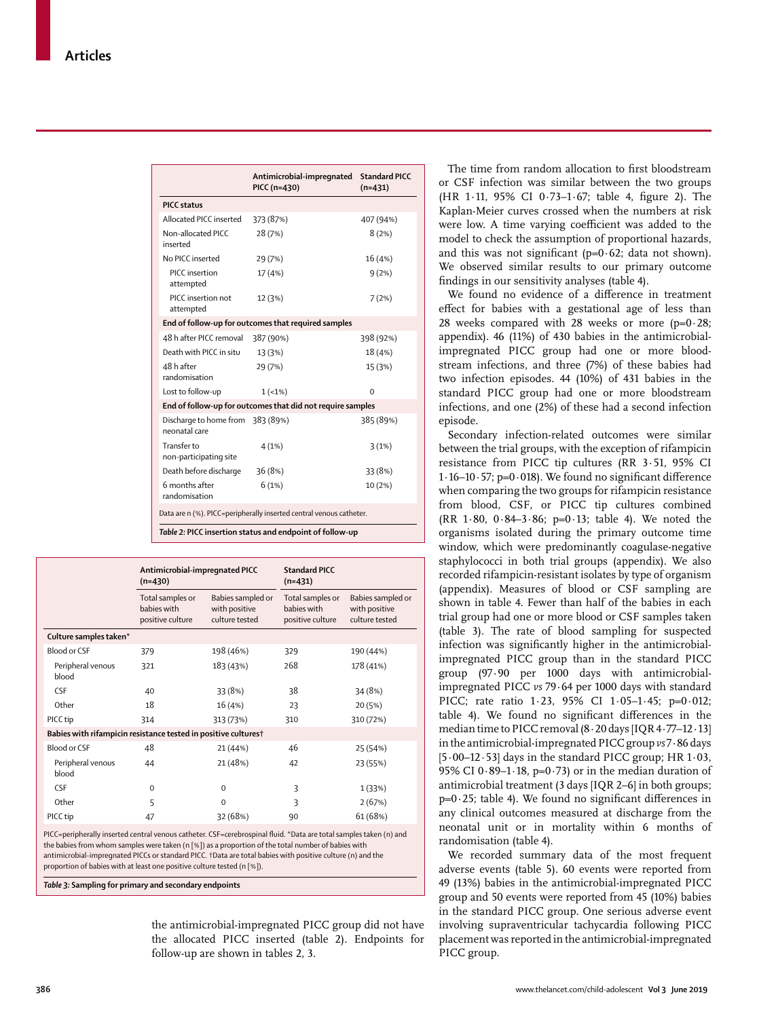|                                                   | Antimicrobial-impregnated<br>PICC (n=430)                           | <b>Standard PICC</b><br>$(n=431)$ |
|---------------------------------------------------|---------------------------------------------------------------------|-----------------------------------|
| <b>PICC status</b>                                |                                                                     |                                   |
| Allocated PICC inserted                           | 373 (87%)                                                           | 407 (94%)                         |
| Non-allocated PICC<br>inserted                    | 28 (7%)                                                             | 8(2%)                             |
| No PICC inserted                                  | 29 (7%)                                                             | 16 (4%)                           |
| PICC insertion<br>attempted                       | 17 (4%)                                                             | 9(2%)                             |
| PICC insertion not<br>attempted                   | 12 (3%)                                                             | 7(2%)                             |
|                                                   | End of follow-up for outcomes that required samples                 |                                   |
| 48 h after PICC removal                           | 387 (90%)                                                           | 398 (92%)                         |
| Death with PICC in situ                           | 13 (3%)                                                             | 18 (4%)                           |
| 48 h after<br>randomisation                       | 29 (7%)                                                             | 15 (3%)                           |
| Lost to follow-up                                 | $1(-1%)$                                                            | $\Omega$                          |
|                                                   | End of follow-up for outcomes that did not require samples          |                                   |
| Discharge to home from 383 (89%)<br>neonatal care |                                                                     | 385 (89%)                         |
| Transfer to<br>non-participating site             | 4(1%)                                                               | 3(1%)                             |
| Death before discharge                            | 36 (8%)                                                             | 33 (8%)                           |
| 6 months after<br>randomisation                   | 6(1%)                                                               | 10 (2%)                           |
|                                                   | Data are n (%). PICC=peripherally inserted central venous catheter. |                                   |
|                                                   | Table 2: PICC insertion status and endpoint of follow-up            |                                   |

|                                                                | Antimicrobial-impregnated PICC<br>$(n=430)$         |                                                      | <b>Standard PICC</b><br>$(n=431)$                   |                                                      |
|----------------------------------------------------------------|-----------------------------------------------------|------------------------------------------------------|-----------------------------------------------------|------------------------------------------------------|
|                                                                | Total samples or<br>babies with<br>positive culture | Babies sampled or<br>with positive<br>culture tested | Total samples or<br>babies with<br>positive culture | Babies sampled or<br>with positive<br>culture tested |
| Culture samples taken*                                         |                                                     |                                                      |                                                     |                                                      |
| Blood or CSE                                                   | 379                                                 | 198 (46%)                                            | 329                                                 | 190 (44%)                                            |
| Peripheral venous<br>blood                                     | 321                                                 | 183 (43%)                                            | 268                                                 | 178 (41%)                                            |
| <b>CSF</b>                                                     | 40                                                  | 33 (8%)                                              | 38                                                  | 34 (8%)                                              |
| Other                                                          | 18                                                  | 16 (4%)                                              | 23                                                  | 20 (5%)                                              |
| PICC tip                                                       | 314                                                 | 313 (73%)                                            | 310                                                 | 310 (72%)                                            |
| Babies with rifampicin resistance tested in positive cultures† |                                                     |                                                      |                                                     |                                                      |
| <b>Blood or CSF</b>                                            | 48                                                  | 21 (44%)                                             | 46                                                  | 25 (54%)                                             |
| Peripheral venous<br>blood                                     | 44                                                  | 21 (48%)                                             | 42                                                  | 23 (55%)                                             |
| <b>CSF</b>                                                     | $\Omega$                                            | $\Omega$                                             | 3                                                   | 1(33%)                                               |
| Other                                                          | 5                                                   | $\Omega$                                             | 3                                                   | 2(67%)                                               |
| PICC tip                                                       | 47                                                  | 32 (68%)                                             | 90                                                  | 61 (68%)                                             |

PICC=peripherally inserted central venous catheter. CSF=cerebrospinal fluid. \*Data are total samples taken (n) and the babies from whom samples were taken (n [%]) as a proportion of the total number of babies with antimicrobial-impregnated PICCs or standard PICC. †Data are total babies with positive culture (n) and the proportion of babies with at least one positive culture tested (n [%]).

*Table 3:* **Sampling for primary and secondary endpoints**

the antimicrobial-impregnated PICC group did not have the allocated PICC inserted (table 2). Endpoints for follow-up are shown in tables 2, 3.

The time from random allocation to first bloodstream or CSF infection was similar between the two groups (HR 1·11, 95% CI 0·73–1·67; table 4, figure 2). The Kaplan-Meier curves crossed when the numbers at risk were low. A time varying coefficient was added to the model to check the assumption of proportional hazards, and this was not significant ( $p=0.62$ ; data not shown). We observed similar results to our primary outcome findings in our sensitivity analyses (table 4).

We found no evidence of a difference in treatment effect for babies with a gestational age of less than 28 weeks compared with 28 weeks or more  $(p=0.28)$ ; appendix). 46 (11%) of 430 babies in the antimicrobialimpregnated PICC group had one or more bloodstream infections, and three (7%) of these babies had two infection episodes. 44 (10%) of 431 babies in the standard PICC group had one or more bloodstream infections, and one (2%) of these had a second infection episode.

Secondary infection-related outcomes were similar between the trial groups, with the exception of rifampicin resistance from PICC tip cultures (RR 3·51, 95% CI 1·16–10·57; p=0·018). We found no significant difference when comparing the two groups for rifampicin resistance from blood, CSF, or PICC tip cultures combined (RR 1.80,  $0.84 - 3.86$ ; p=0.13; table 4). We noted the organisms isolated during the primary outcome time window, which were predominantly coagulase-negative staphylococci in both trial groups (appendix). We also recorded rifampicin-resistant isolates by type of organism (appendix). Measures of blood or CSF sampling are shown in table 4. Fewer than half of the babies in each trial group had one or more blood or CSF samples taken (table 3). The rate of blood sampling for suspected infection was significantly higher in the antimicrobialimpregnated PICC group than in the standard PICC group (97·90 per 1000 days with antimicrobialimpregnated PICC *vs* 79·64 per 1000 days with standard PICC; rate ratio 1.23, 95% CI 1.05-1.45; p=0.012; table 4). We found no significant differences in the median time to PICC removal (8·20 days [IQR 4·77–12·13] in the antimicrobial-impregnated PICC group *vs* 7·86 days  $[5.00-12.53]$  days in the standard PICC group; HR 1.03, 95% CI 0·89-1·18, p=0·73) or in the median duration of antimicrobial treatment (3 days [IQR 2–6] in both groups; p=0·25; table 4). We found no significant differences in any clinical outcomes measured at discharge from the neonatal unit or in mortality within 6 months of randomisation (table 4).

We recorded summary data of the most frequent adverse events (table 5). 60 events were reported from 49 (13%) babies in the antimicrobial-impregnated PICC group and 50 events were reported from 45 (10%) babies in the standard PICC group. One serious adverse event involving supraventricular tachycardia following PICC placement was reported in the antimicrobial-impregnated PICC group.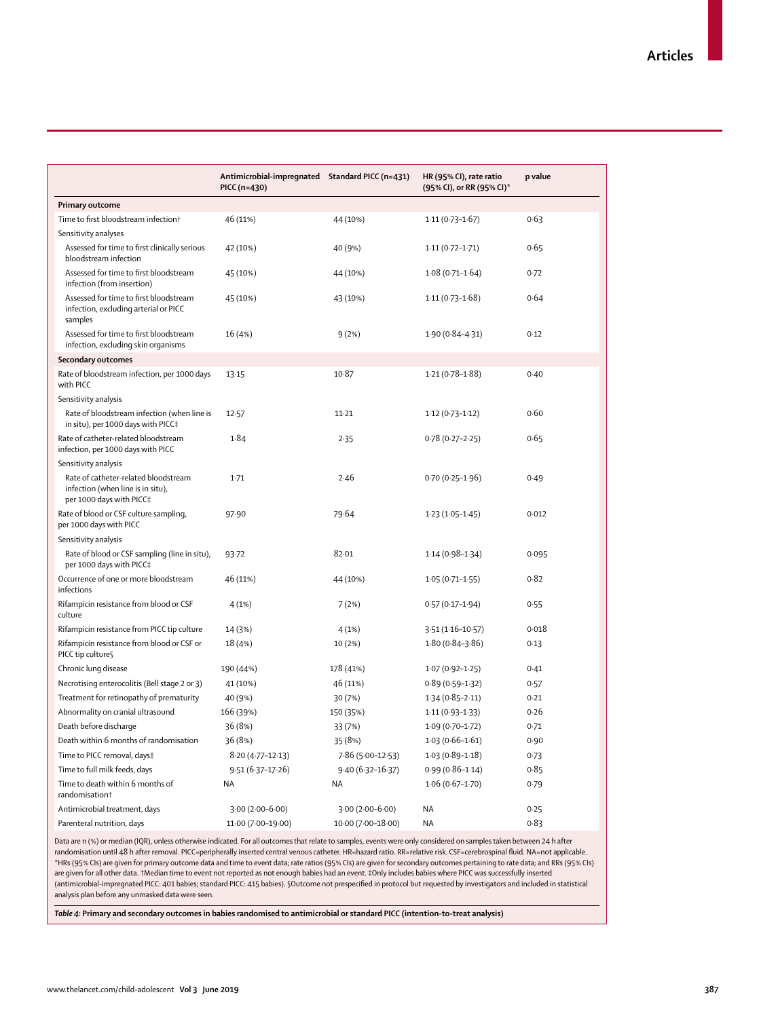|                                                                                                       | Antimicrobial-impregnated Standard PICC (n=431)<br>PICC (n=430) |                      | HR (95% CI), rate ratio<br>(95% CI), or RR (95% CI)* | p value |
|-------------------------------------------------------------------------------------------------------|-----------------------------------------------------------------|----------------------|------------------------------------------------------|---------|
| <b>Primary outcome</b>                                                                                |                                                                 |                      |                                                      |         |
| Time to first bloodstream infection†                                                                  | 46 (11%)                                                        | 44 (10%)             | $1.11(0.73 - 1.67)$                                  | 0.63    |
| Sensitivity analyses                                                                                  |                                                                 |                      |                                                      |         |
| Assessed for time to first clinically serious<br>bloodstream infection                                | 42 (10%)                                                        | 40 (9%)              | $1.11(0.72 - 1.71)$                                  | 0.65    |
| Assessed for time to first bloodstream<br>infection (from insertion)                                  | 45 (10%)                                                        | 44 (10%)             | $1.08(0.71 - 1.64)$                                  | 0.72    |
| Assessed for time to first bloodstream<br>infection, excluding arterial or PICC<br>samples            | 45 (10%)                                                        | 43 (10%)             | $1.11(0.73 - 1.68)$                                  | 0.64    |
| Assessed for time to first bloodstream<br>infection, excluding skin organisms                         | 16 (4%)                                                         | 9(2%)                | $1.90(0.84 - 4.31)$                                  | 0.12    |
| Secondary outcomes                                                                                    |                                                                 |                      |                                                      |         |
| Rate of bloodstream infection, per 1000 days<br>with PICC                                             | 13.15                                                           | $10-87$              | $1.21(0.78 - 1.88)$                                  | 0.40    |
| Sensitivity analysis                                                                                  |                                                                 |                      |                                                      |         |
| Rate of bloodstream infection (when line is<br>in situ), per 1000 days with PICC‡                     | 12.57                                                           | $11-21$              | $1.12(0.73 - 1.12)$                                  | 0.60    |
| Rate of catheter-related bloodstream<br>infection, per 1000 days with PICC                            | 1.84                                                            | 2.35                 | $0.78(0.27 - 2.25)$                                  | 0.65    |
| Sensitivity analysis                                                                                  |                                                                 |                      |                                                      |         |
| Rate of catheter-related bloodstream<br>infection (when line is in situ),<br>per 1000 days with PICC‡ | 1.71                                                            | 2.46                 | $0.70(0.25-1.96)$                                    | 0.49    |
| Rate of blood or CSF culture sampling,<br>per 1000 days with PICC                                     | 97.90                                                           | 79.64                | $1.23(1.05-1.45)$                                    | 0.012   |
| Sensitivity analysis                                                                                  |                                                                 |                      |                                                      |         |
| Rate of blood or CSF sampling (line in situ),<br>per 1000 days with PICC‡                             | 93.72                                                           | 82.01                | $1.14(0.98-1.34)$                                    | 0.095   |
| Occurrence of one or more bloodstream<br>infections                                                   | 46 (11%)                                                        | 44 (10%)             | $1.05(0.71 - 1.55)$                                  | 0.82    |
| Rifampicin resistance from blood or CSF<br>culture                                                    | 4(1%)                                                           | 7(2%)                | $0.57(0.17 - 1.94)$                                  | 0.55    |
| Rifampicin resistance from PICC tip culture                                                           | 14 (3%)                                                         | 4(1%)                | 3.51 (1.16–10.57)                                    | 0.018   |
| Rifampicin resistance from blood or CSF or<br>PICC tip culture§                                       | 18 (4%)                                                         | 10 (2%)              | $1.80(0.84 - 3.86)$                                  | 0.13    |
| Chronic lung disease                                                                                  | 190 (44%)                                                       | 178 (41%)            | $1.07(0.92 - 1.25)$                                  | 0.41    |
| Necrotising enterocolitis (Bell stage 2 or 3)                                                         | 41 (10%)                                                        | 46 (11%)             | $0.89(0.59-1.32)$                                    | 0.57    |
| Treatment for retinopathy of prematurity                                                              | 40 (9%)                                                         | 30 (7%)              | $1.34(0.85 - 2.11)$                                  | 0.21    |
| Abnormality on cranial ultrasound                                                                     | 166 (39%)                                                       | 150 (35%)            | $1.11(0.93 - 1.33)$                                  | 0.26    |
| Death before discharge                                                                                | 36 (8%)                                                         | 33 (7%)              | $1.09(0.70 - 1.72)$                                  | 0.71    |
| Death within 6 months of randomisation                                                                | 36 (8%)                                                         | 35 (8%)              | $1.03(0.66 - 1.61)$                                  | 0.90    |
| Time to PICC removal, days‡                                                                           | $8.20(4.77 - 12.13)$                                            | $7.86(5.00-12.53)$   | $1.03(0.89 - 1.18)$                                  | 0.73    |
| Time to full milk feeds, days                                                                         | $9.51(6.37 - 17.26)$                                            | $9.40(6.32 - 16.37)$ | $0.99(0.86 - 1.14)$                                  | 0.85    |
| Time to death within 6 months of<br>randomisation†                                                    | ΝA                                                              | ΝA                   | $1.06(0.67 - 1.70)$                                  | 0.79    |
| Antimicrobial treatment, days                                                                         | $3.00(2.00 - 6.00)$                                             | $3.00(2.00-6.00)$    | ΝA                                                   | 0.25    |
| Parenteral nutrition, days                                                                            | 11.00 (7.00-19.00)                                              | 10.00 (7.00-18.00)   | NA                                                   | 0.83    |

Data are n (%) or median (IQR), unless otherwise indicated. For all outcomes that relate to samples, events were only considered on samples taken between 24 h after randomisation until 48 h after removal. PICC=peripherally inserted central venous catheter. HR=hazard ratio. RR=relative risk. CSF=cerebrospinal fluid. NA=not applicable. \*HRs (95% CIs) are given for primary outcome data and time to event data; rate ratios (95% CIs) are given for secondary outcomes pertaining to rate data; and RRs (95% CIs) are given for all other data. †Median time to event not reported as not enough babies had an event. ‡Only includes babies where PICC was successfully inserted as not enough babies had an event. ‡Only includes babies where (antimicrobial-impregnated PICC: 401 babies; standard PICC: 415 babies). §Outcome not prespecified in protocol but requested by investigators and included in statistical analysis plan before any unmasked data were seen.

*Table 4:* **Primary and secondary outcomes in babies randomised to antimicrobial or standard PICC (intention-to-treat analysis)**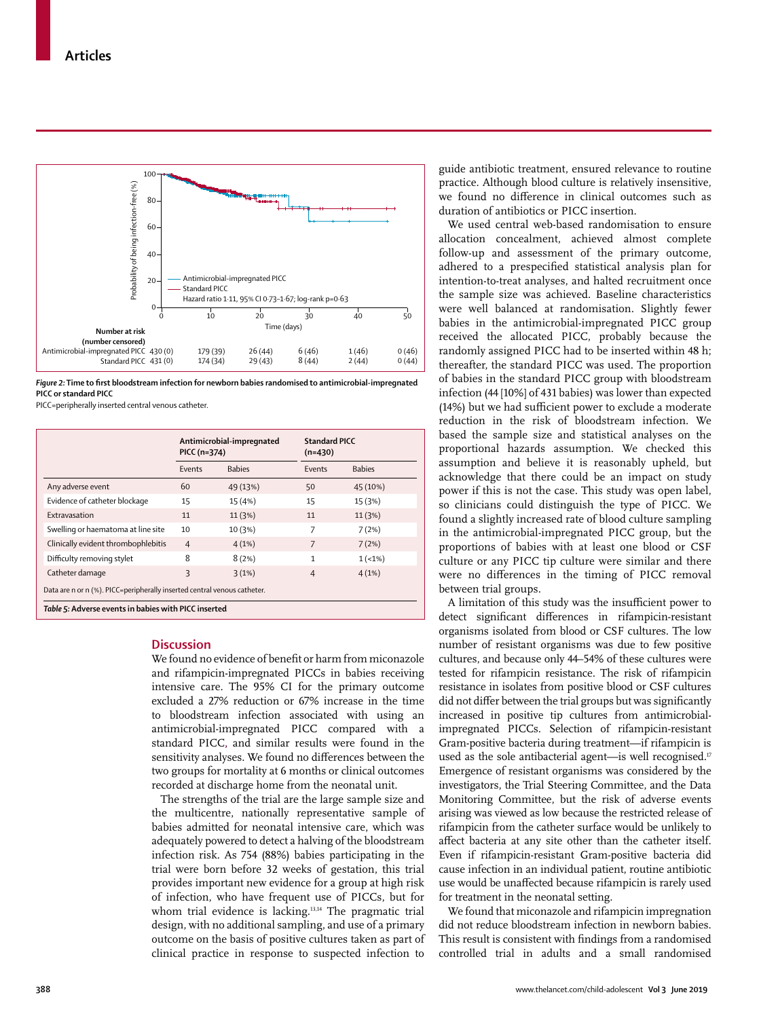

*Figure 2:* **Time to first bloodstream infection for newborn babies randomised to antimicrobial-impregnated PICC or standard PICC**

PICC=peripherally inserted central venous catheter.

|                                                                          | Antimicrobial-impregnated<br>PICC (n=374) |               | <b>Standard PICC</b><br>$(n=430)$ |               |
|--------------------------------------------------------------------------|-------------------------------------------|---------------|-----------------------------------|---------------|
|                                                                          | Events                                    | <b>Babies</b> | Events                            | <b>Babies</b> |
| Any adverse event                                                        | 60                                        | 49 (13%)      | 50                                | 45 (10%)      |
| Evidence of catheter blockage                                            | 15                                        | 15 (4%)       | 15                                | 15 (3%)       |
| Extravasation                                                            | 11                                        | 11(3%)        | 11                                | 11(3%)        |
| Swelling or haematoma at line site                                       | 10                                        | 10(3%)        | 7                                 | 7(2%)         |
| Clinically evident thrombophlebitis                                      | $\overline{4}$                            | 4(1%)         | 7                                 | 7(2%)         |
| Difficulty removing stylet                                               | 8                                         | 8(2%)         | 1                                 | $1(-1%)$      |
| Catheter damage                                                          | 3                                         | 3(1%)         | $\overline{4}$                    | 4(1%)         |
| Data are n or n (%). PICC=peripherally inserted central venous catheter. |                                           |               |                                   |               |

#### **Discussion**

We found no evidence of benefit or harm from miconazole and rifampicin-impregnated PICCs in babies receiving intensive care. The 95% CI for the primary outcome excluded a 27% reduction or 67% increase in the time to bloodstream infection associated with using an antimicrobial-impregnated PICC compared with a standard PICC**,** and similar results were found in the sensitivity analyses. We found no differences between the two groups for mortality at 6 months or clinical outcomes recorded at discharge home from the neonatal unit.

The strengths of the trial are the large sample size and the multicentre, nationally representative sample of babies admitted for neonatal intensive care, which was adequately powered to detect a halving of the bloodstream infection risk. As 754 (88%) babies participating in the trial were born before 32 weeks of gestation, this trial provides important new evidence for a group at high risk of infection, who have frequent use of PICCs, but for whom trial evidence is lacking.<sup>13,14</sup> The pragmatic trial design, with no additional sampling, and use of a primary outcome on the basis of positive cultures taken as part of clinical practice in response to suspected infection to guide antibiotic treatment, ensured relevance to routine practice. Although blood culture is relatively insensitive, we found no difference in clinical outcomes such as duration of antibiotics or PICC insertion.

We used central web-based randomisation to ensure allocation concealment, achieved almost complete follow-up and assessment of the primary outcome, adhered to a prespecified statistical analysis plan for intention-to-treat analyses, and halted recruitment once the sample size was achieved. Baseline characteristics were well balanced at randomisation. Slightly fewer babies in the antimicrobial-impregnated PICC group received the allocated PICC, probably because the randomly assigned PICC had to be inserted within 48 h; thereafter, the standard PICC was used. The proportion of babies in the standard PICC group with bloodstream infection (44 [10%] of 431 babies) was lower than expected (14%) but we had sufficient power to exclude a moderate reduction in the risk of bloodstream infection. We based the sample size and statistical analyses on the proportional hazards assumption. We checked this assumption and believe it is reasonably upheld, but acknowledge that there could be an impact on study power if this is not the case. This study was open label, so clinicians could distinguish the type of PICC. We found a slightly increased rate of blood culture sampling in the antimicrobial-impregnated PICC group, but the proportions of babies with at least one blood or CSF culture or any PICC tip culture were similar and there were no differences in the timing of PICC removal between trial groups.

A limitation of this study was the insufficient power to detect significant differences in rifampicin-resistant organisms isolated from blood or CSF cultures. The low number of resistant organisms was due to few positive cultures, and because only 44–54% of these cultures were tested for rifampicin resistance. The risk of rifampicin resistance in isolates from positive blood or CSF cultures did not differ between the trial groups but was significantly increased in positive tip cultures from antimicrobialimpregnated PICCs. Selection of rifampicin-resistant Gram-positive bacteria during treatment—if rifampicin is used as the sole antibacterial agent—is well recognised.<sup>17</sup> Emergence of resistant organisms was considered by the investigators, the Trial Steering Committee, and the Data Monitoring Committee, but the risk of adverse events arising was viewed as low because the restricted release of rifampicin from the catheter surface would be unlikely to affect bacteria at any site other than the catheter itself. Even if rifampicin-resistant Gram-positive bacteria did cause infection in an individual patient, routine antibiotic use would be unaffected because rifampicin is rarely used for treatment in the neonatal setting.

We found that miconazole and rifampicin impregnation did not reduce bloodstream infection in newborn babies. This result is consistent with findings from a randomised controlled trial in adults and a small randomised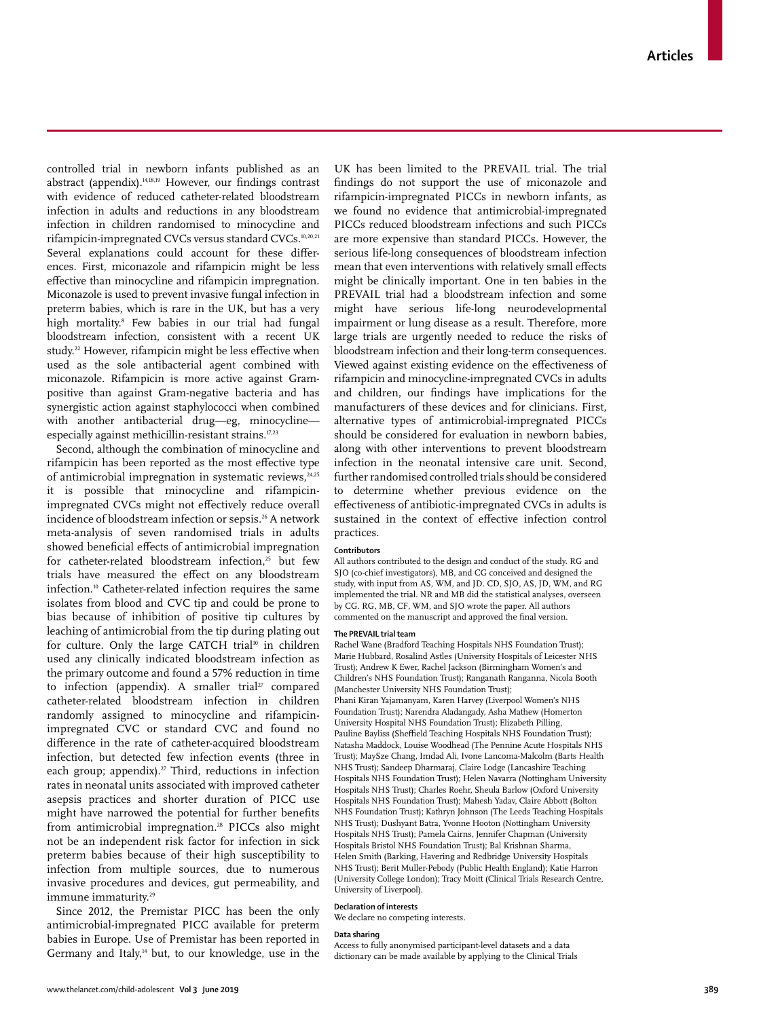controlled trial in newborn infants published as an abstract (appendix).14,18,19 However, our findings contrast with evidence of reduced catheter-related bloodstream infection in adults and reductions in any bloodstream infection in children randomised to minocycline and rifampicin-impregnated CVCs versus standard CVCs.10,20,21 Several explanations could account for these differences. First, miconazole and rifampicin might be less effective than minocycline and rifampicin impregnation. Miconazole is used to prevent invasive fungal infection in preterm babies, which is rare in the UK, but has a very high mortality.8 Few babies in our trial had fungal bloodstream infection, consistent with a recent UK study.<sup>22</sup> However, rifampicin might be less effective when used as the sole antibacterial agent combined with miconazole. Rifampicin is more active against Grampositive than against Gram-negative bacteria and has synergistic action against staphylococci when combined with another antibacterial drug—eg, minocycline especially against methicillin-resistant strains. $17,23$ 

Second, although the combination of minocycline and rifampicin has been reported as the most effective type of antimicrobial impregnation in systematic reviews, $24,25$ it is possible that minocycline and rifampicinimpregnated CVCs might not effectively reduce overall incidence of bloodstream infection or sepsis.<sup>26</sup> A network meta-analysis of seven randomised trials in adults showed beneficial effects of antimicrobial impregnation for catheter-related bloodstream infection,<sup>25</sup> but few trials have measured the effect on any bloodstream infection.10 Catheter-related infection requires the same isolates from blood and CVC tip and could be prone to bias because of inhibition of positive tip cultures by leaching of antimicrobial from the tip during plating out for culture. Only the large CATCH trial<sup>10</sup> in children used any clinically indicated bloodstream infection as the primary outcome and found a 57% reduction in time to infection (appendix). A smaller trial<sup>27</sup> compared catheter-related bloodstream infection in children randomly assigned to minocycline and rifampicinimpregnated CVC or standard CVC and found no difference in the rate of catheter-acquired bloodstream infection, but detected few infection events (three in each group; appendix).<sup>27</sup> Third, reductions in infection rates in neonatal units associated with improved catheter asepsis practices and shorter duration of PICC use might have narrowed the potential for further benefits from antimicrobial impregnation.<sup>28</sup> PICCs also might not be an independent risk factor for infection in sick preterm babies because of their high susceptibility to infection from multiple sources, due to numerous invasive procedures and devices, gut permeability, and immune immaturity.<sup>29</sup>

Since 2012, the Premistar PICC has been the only antimicrobial-impregnated PICC available for preterm babies in Europe. Use of Premistar has been reported in Germany and Italy, $14$  but, to our knowledge, use in the UK has been limited to the PREVAIL trial. The trial findings do not support the use of miconazole and rifampicin-impregnated PICCs in newborn infants, as we found no evidence that antimicrobial-impregnated PICCs reduced bloodstream infections and such PICCs are more expensive than standard PICCs. However, the serious life-long consequences of bloodstream infection mean that even interventions with relatively small effects might be clinically important. One in ten babies in the PREVAIL trial had a bloodstream infection and some might have serious life-long neurodevelopmental impairment or lung disease as a result. Therefore, more large trials are urgently needed to reduce the risks of bloodstream infection and their long-term consequences. Viewed against existing evidence on the effectiveness of rifampicin and minocycline-impregnated CVCs in adults and children, our findings have implications for the manufacturers of these devices and for clinicians. First, alternative types of antimicrobial-impregnated PICCs should be considered for evaluation in newborn babies, along with other interventions to prevent bloodstream infection in the neonatal intensive care unit. Second, further randomised controlled trials should be considered to determine whether previous evidence on the effectiveness of antibiotic-impregnated CVCs in adults is sustained in the context of effective infection control practices.

#### **Contributors**

All authors contributed to the design and conduct of the study. RG and SJO (co-chief investigators), MB, and CG conceived and designed the study, with input from AS, WM, and JD. CD, SJO, AS, JD, WM, and RG implemented the trial. NR and MB did the statistical analyses, overseen by CG. RG, MB, CF, WM, and SJO wrote the paper. All authors commented on the manuscript and approved the final version.

#### **The PREVAIL trial team**

Rachel Wane (Bradford Teaching Hospitals NHS Foundation Trust); Marie Hubbard, Rosalind Astles (University Hospitals of Leicester NHS Trust); Andrew K Ewer, Rachel Jackson (Birmingham Women's and Children's NHS Foundation Trust); Ranganath Ranganna, Nicola Booth (Manchester University NHS Foundation Trust); Phani Kiran Yajamanyam, Karen Harvey (Liverpool Women's NHS Foundation Trust); Narendra Aladangady, Asha Mathew (Homerton University Hospital NHS Foundation Trust); Elizabeth Pilling, Pauline Bayliss (Sheffield Teaching Hospitals NHS Foundation Trust); Natasha Maddock, Louise Woodhead (The Pennine Acute Hospitals NHS Trust); MaySze Chang, Imdad Ali, Ivone Lancoma-Malcolm (Barts Health NHS Trust); Sandeep Dharmaraj, Claire Lodge (Lancashire Teaching Hospitals NHS Foundation Trust); Helen Navarra (Nottingham University Hospitals NHS Trust); Charles Roehr, Sheula Barlow (Oxford University Hospitals NHS Foundation Trust); Mahesh Yadav, Claire Abbott (Bolton NHS Foundation Trust); Kathryn Johnson (The Leeds Teaching Hospitals NHS Trust); Dushyant Batra, Yvonne Hooton (Nottingham University Hospitals NHS Trust); Pamela Cairns, Jennifer Chapman (University Hospitals Bristol NHS Foundation Trust); Bal Krishnan Sharma, Helen Smith (Barking, Havering and Redbridge University Hospitals

NHS Trust); Berit Muller-Pebody (Public Health England); Katie Harron (University College London); Tracy Moitt (Clinical Trials Research Centre, University of Liverpool).

#### **Declaration of interests**

We declare no competing interests.

#### **Data sharing**

Access to fully anonymised participant-level datasets and a data dictionary can be made available by applying to the Clinical Trials